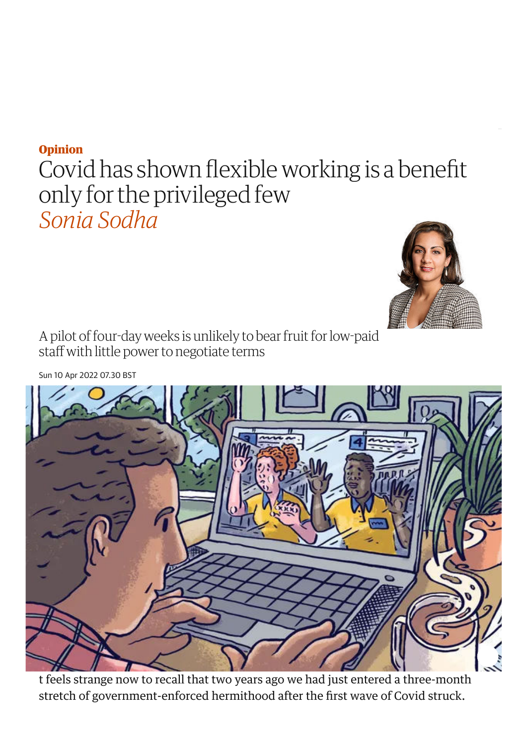## **Opinion**

Covid has shown flexible working is a benefit only for the privileged few Sonia Sodha



A pilot of four-day weeks is unlikely to bear fruit for low-paid staff with little power to negotiate terms

Sun 10 Apr 2022 07.30 BST



t feels strange now to recall that two years ago we had just entered a three-month stretch of government-enforced hermithood after the first wave of Covid struck.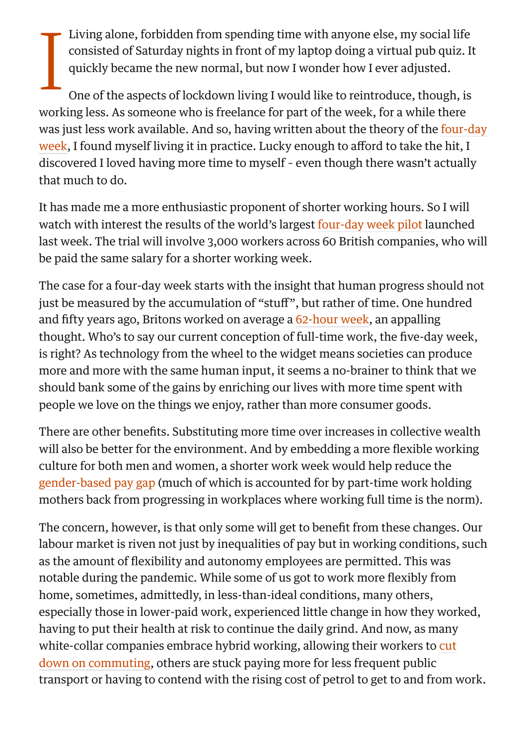Living alone, forbidden from spending time with anyone else, my social life consisted of Saturday nights in front of my laptop doing a virtual pub quiz. It quickly became the new normal, but now I wonder how I ever adjusted.

One of the aspects of lockdown living I would like to reintroduce, though, is working less. As someone who is freelance for part of the week, for a while there was just less work available. And so, having written about the theory of the four-day week, I found myself living it in practice. Lucky enough to afford to take the hit, I discovered I loved having more time to myself - even though there wasn't actually that much to do.

It has made me a more enthusiastic proponent of shorter working hours. So I will watch with interest the results of the world's largest four-day week pilot launched last week. The trial will involve 3,000 workers across 60 British companies, who will be paid the same salary for a shorter working week.

The case for a four-day week starts with the insight that human progress should not just be measured by the accumulation of "stuff", but rather of time. One hundred and fifty years ago, Britons worked on average a 62-hour week, an appalling thought. Who's to say our current conception of full-time work, the five-day week, is right? As technology from the wheel to the widget means societies can produce more and more with the same human input, it seems a no-brainer to think that we should bank some of the gains by enriching our lives with more time spent with people we love on the things we enjoy, rather than more consumer goods.

There are other benefits. Substituting more time over increases in collective wealth will also be better for the environment. And by embedding a more flexible working culture for both men and women, a shorter work week would help reduce the gender-based pay gap (much of which is accounted for by part-time work holding mothers back from progressing in workplaces where working full time is the norm).

The concern, however, is that only some will get to benefit from these changes. Our labour market is riven not just by inequalities of pay but in working conditions, such as the amount of flexibility and autonomy employees are permitted. This was notable during the pandemic. While some of us got to work more flexibly from home, sometimes, admittedly, in less-than-ideal conditions, many others, especially those in lower-paid work, experienced little change in how they worked, having to put their health at risk to continue the daily grind. And now, as many white-collar companies embrace hybrid working, allowing their workers to cut down on commuting, others are stuck paying more for less frequent public transport or having to contend with the rising cost of petrol to get to and from work.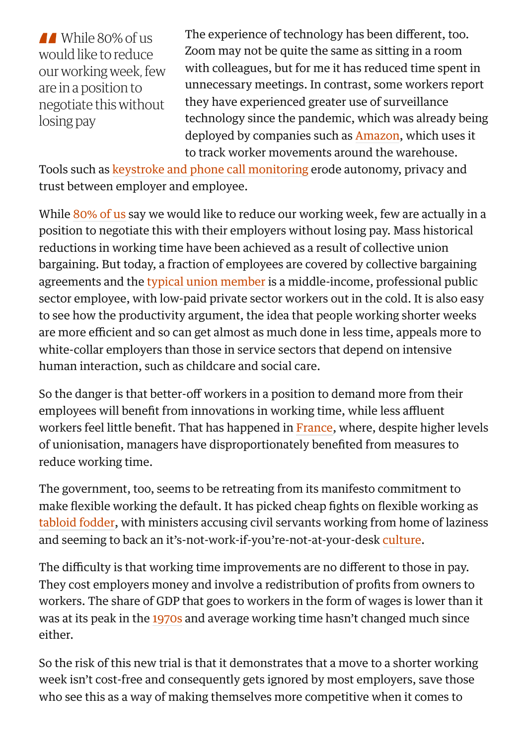While 80% of us would like to reduce our working week, few are in a position to negotiate this without losing pay

The experience of technology has been different, too. Zoom may not be quite the same as sitting in a room with colleagues, but for me it has reduced time spent in unnecessary meetings. In contrast, some workers report they have experienced greater use of surveillance technology since the pandemic, which was already being deployed by companies such as Amazon, which uses it to track worker movements around the warehouse.

Tools such as keystroke and phone call monitoring erode autonomy, privacy and trust between employer and employee.

While 80% of us say we would like to reduce our working week, few are actually in a position to negotiate this with their employers without losing pay. Mass historical reductions in working time have been achieved as a result of collective union bargaining. But today, a fraction of employees are covered by collective bargaining agreements and the typical union member is a middle-income, professional public sector employee, with low-paid private sector workers out in the cold. It is also easy to see how the productivity argument, the idea that people working shorter weeks are more efficient and so can get almost as much done in less time, appeals more to white-collar employers than those in service sectors that depend on intensive human interaction, such as childcare and social care.

So the danger is that better-off workers in a position to demand more from their employees will benefit from innovations in working time, while less affluent workers feel little benefit. That has happened in France, where, despite higher levels of unionisation, managers have disproportionately benefited from measures to reduce working time.

The government, too, seems to be retreating from its manifesto commitment to make flexible working the default. It has picked cheap fights on flexible working as tabloid fodder, with ministers accusing civil servants working from home of laziness and seeming to back an it's-not-work-if-you're-not-at-your-desk culture.

The difficulty is that working time improvements are no different to those in pay. They cost employers money and involve a redistribution of profits from owners to workers. The share of GDP that goes to workers in the form of wages is lower than it was at its peak in the 1970s and average working time hasn't changed much since either.

So the risk of this new trial is that it demonstrates that a move to a shorter working week isn't cost-free and consequently gets ignored by most employers, save those who see this as a way of making themselves more competitive when it comes to